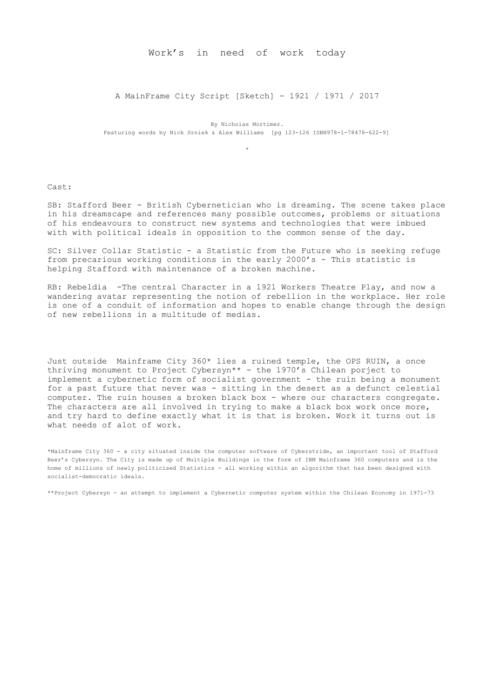Work's in need of work today

A MainFrame City Script [Sketch] - 1921 / 1971 / 2017

By Nicholas Mortimer. Featuring words by Nick Srniek & Alex Williams [pg 123-126 ISBN978-1-78478-622-9]

\*

Cast:

SB: Stafford Beer - British Cybernetician who is dreaming. The scene takes place in his dreamscape and references many possible outcomes, problems or situations of his endeavours to construct new systems and technologies that were imbued with with political ideals in opposition to the common sense of the day.

SC: Silver Collar Statistic - a Statistic from the Future who is seeking refuge from precarious working conditions in the early 2000's - This statistic is helping Stafford with maintenance of a broken machine.

RB: Rebeldia -The central Character in a 1921 Workers Theatre Play, and now a wandering avatar representing the notion of rebellion in the workplace. Her role is one of a conduit of information and hopes to enable change through the design of new rebellions in a multitude of medias.

Just outside Mainframe City 360\* lies a ruined temple, the OPS RUIN, a once thriving monument to Project Cybersyn\*\* - the 1970's Chilean porject to implement a cybernetic form of socialist government - the ruin being a monument for a past future that never was - sitting in the desert as a defunct celestial computer. The ruin houses a broken black box - where our characters congregate. The characters are all involved in trying to make a black box work once more, and try hard to define exactly what it is that is broken. Work it turns out is what needs of alot of work.

\*Mainframe City 360 - a city situated inside the computer software of Cyberstride, an important tool of Stafford Beer's Cybersyn. The City is made up of Multiple Buildings in the form of IBM Mainframe 360 computers and is the home of millions of newly politicised Statistics - all working within an algorithm that has been designed with socialist-democratic ideals.

\*\*Project Cybersyn - an attempt to implement a Cybernetic computer system within the Chilean Economy in 1971-73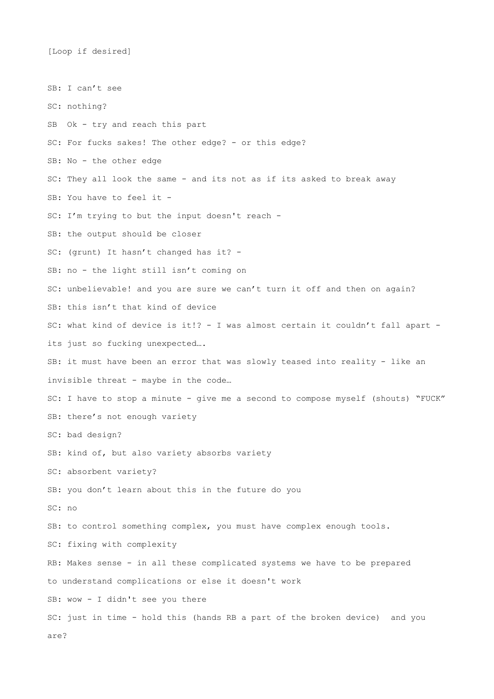[Loop if desired]

SB: I can't see SC: nothing? SB Ok - try and reach this part SC: For fucks sakes! The other edge? - or this edge? SB: No - the other edge SC: They all look the same - and its not as if its asked to break away SB: You have to feel it -SC: I'm trying to but the input doesn't reach - SB: the output should be closer SC: (grunt) It hasn't changed has it? - SB: no - the light still isn't coming on SC: unbelievable! and you are sure we can't turn it off and then on again? SB: this isn't that kind of device SC: what kind of device is it!? - I was almost certain it couldn't fall apart its just so fucking unexpected…. SB: it must have been an error that was slowly teased into reality - like an invisible threat - maybe in the code… SC: I have to stop a minute - give me a second to compose myself (shouts) "FUCK" SB: there's not enough variety SC: bad design? SB: kind of, but also variety absorbs variety SC: absorbent variety? SB: you don't learn about this in the future do you SC: no SB: to control something complex, you must have complex enough tools. SC: fixing with complexity RB: Makes sense - in all these complicated systems we have to be prepared to understand complications or else it doesn't work SB: wow - I didn't see you there SC: just in time - hold this (hands RB a part of the broken device) and you are?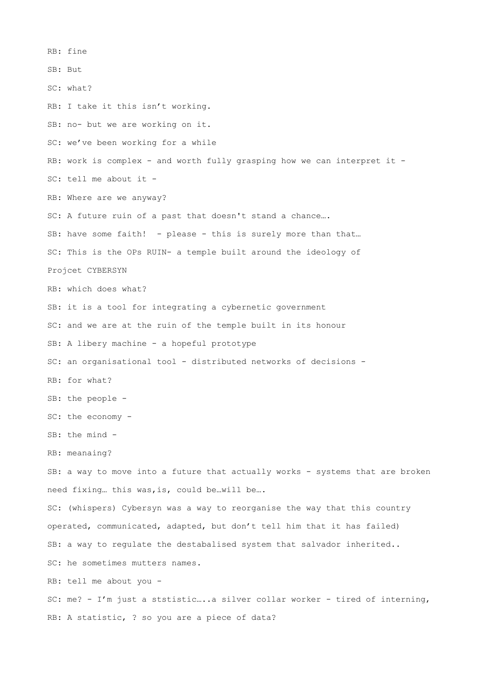RB: fine SB: But SC: what? RB: I take it this isn't working. SB: no- but we are working on it. SC: we've been working for a while RB: work is complex - and worth fully grasping how we can interpret it -SC: tell me about it - RB: Where are we anyway? SC: A future ruin of a past that doesn't stand a chance…. SB: have some faith! - please - this is surely more than that... SC: This is the OPs RUIN- a temple built around the ideology of Projcet CYBERSYN RB: which does what? SB: it is a tool for integrating a cybernetic government SC: and we are at the ruin of the temple built in its honour SB: A libery machine - a hopeful prototype SC: an organisational tool - distributed networks of decisions - RB: for what? SB: the people - SC: the economy - SB: the mind - RB: meanaing? SB: a way to move into a future that actually works - systems that are broken need fixing… this was,is, could be…will be…. SC: (whispers) Cybersyn was a way to reorganise the way that this country operated, communicated, adapted, but don't tell him that it has failed) SB: a way to regulate the destabalised system that salvador inherited.. SC: he sometimes mutters names. RB: tell me about you - SC: me? - I'm just a ststistic…..a silver collar worker - tired of interning, RB: A statistic, ? so you are a piece of data?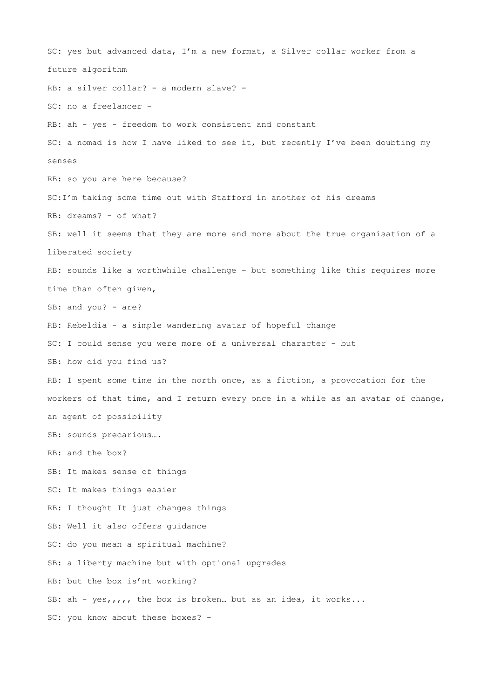SC: yes but advanced data, I'm a new format, a Silver collar worker from a future algorithm RB: a silver collar? - a modern slave? - SC: no a freelancer - RB: ah - yes - freedom to work consistent and constant SC: a nomad is how I have liked to see it, but recently I've been doubting my senses RB: so you are here because? SC:I'm taking some time out with Stafford in another of his dreams RB: dreams? - of what? SB: well it seems that they are more and more about the true organisation of a liberated society RB: sounds like a worthwhile challenge - but something like this requires more time than often given, SB: and you? - are? RB: Rebeldia - a simple wandering avatar of hopeful change SC: I could sense you were more of a universal character - but SB: how did you find us? RB: I spent some time in the north once, as a fiction, a provocation for the workers of that time, and I return every once in a while as an avatar of change, an agent of possibility SB: sounds precarious…. RB: and the box? SB: It makes sense of things SC: It makes things easier RB: I thought It just changes things SB: Well it also offers guidance SC: do you mean a spiritual machine? SB: a liberty machine but with optional upgrades RB: but the box is'nt working? SB: ah - yes,,,,, the box is broken… but as an idea, it works... SC: you know about these boxes? -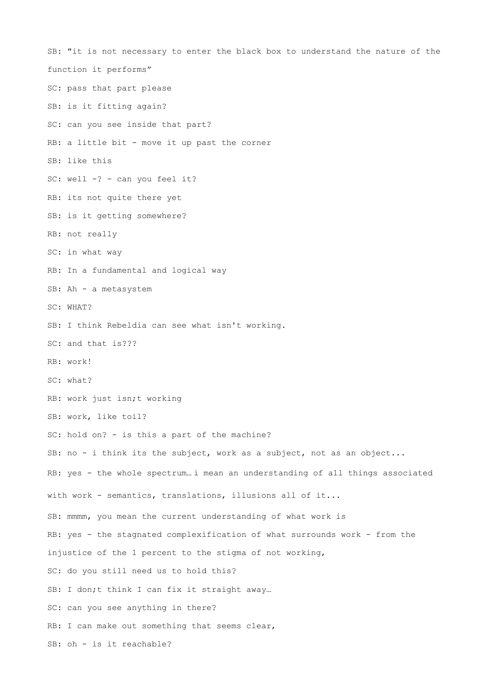SB: "it is not necessary to enter the black box to understand the nature of the function it performs" SC: pass that part please SB: is it fitting again? SC: can you see inside that part? RB: a little bit - move it up past the corner SB: like this SC: well -? - can you feel it? RB: its not quite there yet SB: is it getting somewhere? RB: not really SC: in what way RB: In a fundamental and logical way SB: Ah - a metasystem SC: WHAT? SB: I think Rebeldia can see what isn't working. SC: and that is??? RB: work! SC: what? RB: work just isn;t working SB: work, like toil? SC: hold on? - is this a part of the machine? SB: no - i think its the subject, work as a subject, not as an object... RB: yes - the whole spectrum… i mean an understanding of all things associated with work - semantics, translations, illusions all of it... SB: mmmm, you mean the current understanding of what work is RB: yes - the stagnated complexification of what surrounds work - from the injustice of the 1 percent to the stigma of not working, SC: do you still need us to hold this? SB: I don;t think I can fix it straight away... SC: can you see anything in there? RB: I can make out something that seems clear, SB: oh - is it reachable?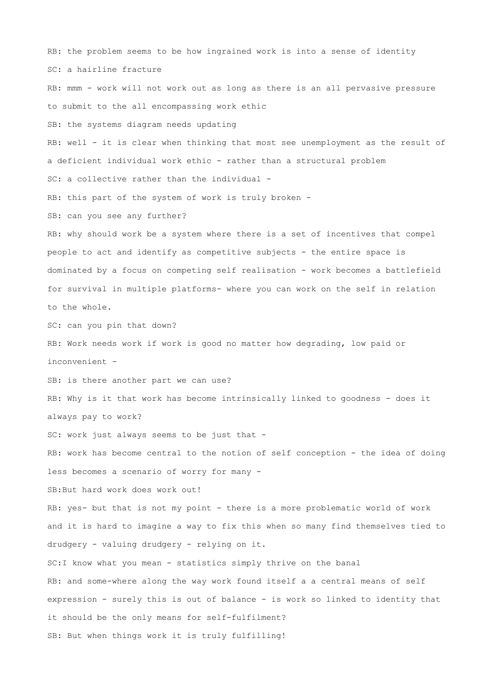RB: the problem seems to be how ingrained work is into a sense of identity SC: a hairline fracture RB: mmm - work will not work out as long as there is an all pervasive pressure to submit to the all encompassing work ethic SB: the systems diagram needs updating RB: well - it is clear when thinking that most see unemployment as the result of a deficient individual work ethic - rather than a structural problem SC: a collective rather than the individual -RB: this part of the system of work is truly broken -SB: can you see any further? RB: why should work be a system where there is a set of incentives that compel people to act and identify as competitive subjects - the entire space is dominated by a focus on competing self realisation - work becomes a battlefield for survival in multiple platforms- where you can work on the self in relation to the whole. SC: can you pin that down? RB: Work needs work if work is good no matter how degrading, low paid or inconvenient - SB: is there another part we can use? RB: Why is it that work has become intrinsically linked to goodness - does it always pay to work? SC: work just always seems to be just that -RB: work has become central to the notion of self conception - the idea of doing less becomes a scenario of worry for many - SB:But hard work does work out! RB: yes- but that is not my point - there is a more problematic world of work and it is hard to imagine a way to fix this when so many find themselves tied to drudgery - valuing drudgery - relying on it. SC:I know what you mean - statistics simply thrive on the banal RB: and some-where along the way work found itself a a central means of self expression - surely this is out of balance - is work so linked to identity that it should be the only means for self-fulfilment? SB: But when things work it is truly fulfilling!